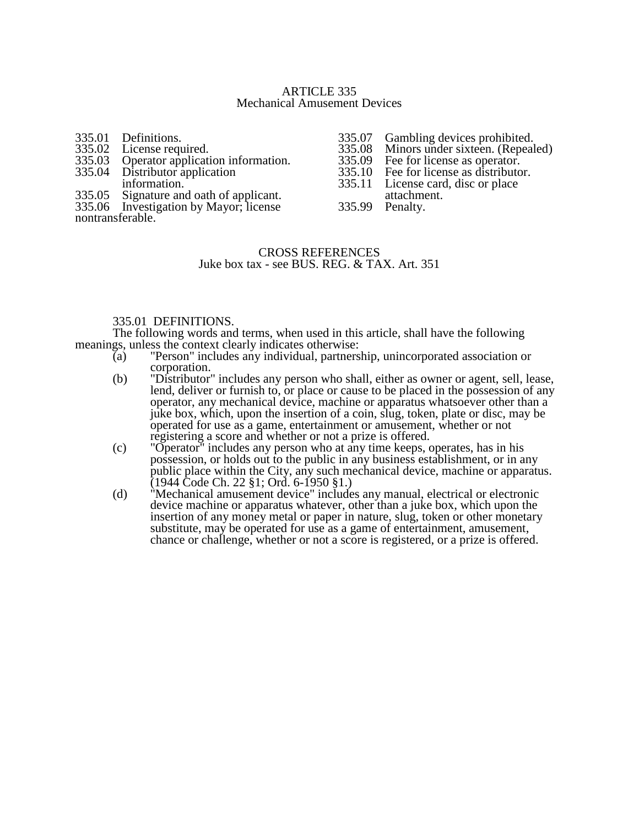## ARTICLE 335 Mechanical Amusement Devices

| 335.01 Definitions.                      |
|------------------------------------------|
| 335.02 License required.                 |
| 335.03 Operator application information. |

- 335.04 Distributor application
- information.
- 335.05 Signature and oath of applicant.

335.06 Investigation by Mayor; license nontransferable.

- 335.07 Gambling devices prohibited.<br>335.08 Minors under sixteen. (Repeal
- 335.08 Minors under sixteen. (Repealed)<br>335.09 Fee for license as operator.
- 335.09 Fee for license as operator.<br>335.10 Fee for license as distributo
- 335.10 Fee for license as distributor.<br>335.11 License card, disc or place
- License card, disc or place
- attachment.<br>Penalty.
- 335.99

# CROSS REFERENCES Juke box tax - see BUS. REG. & TAX. Art. 351

# 335.01 DEFINITIONS.

The following words and terms, when used in this article, shall have the following meanings, unless the context clearly indicates otherwise:<br>(a) "Person" includes any individual, partners

- "Person" includes any individual, partnership, unincorporated association or corporation.
- (b) "Distributor" includes any person who shall, either as owner or agent, sell, lease, lend, deliver or furnish to, or place or cause to be placed in the possession of any operator, any mechanical device, machine or apparatus whatsoever other than a juke box, which, upon the insertion of a coin, slug, token, plate or disc, may be operated for use as a game, entertainment or amusement, whether or not registering a score and whether or not a prize is offered.
- (c) "Operator" includes any person who at any time keeps, operates, has in his possession, or holds out to the public in any business establishment, or in any public place within the City, any such mechanical device, machine or apparatus. (1944 Code Ch. 22 §1; Ord. 6-1950 §1.)
- (d) "Mechanical amusement device" includes any manual, electrical or electronic device machine or apparatus whatever, other than a juke box, which upon the insertion of any money metal or paper in nature, slug, token or other monetary substitute, may be operated for use as a game of entertainment, amusement, chance or challenge, whether or not a score is registered, or a prize is offered.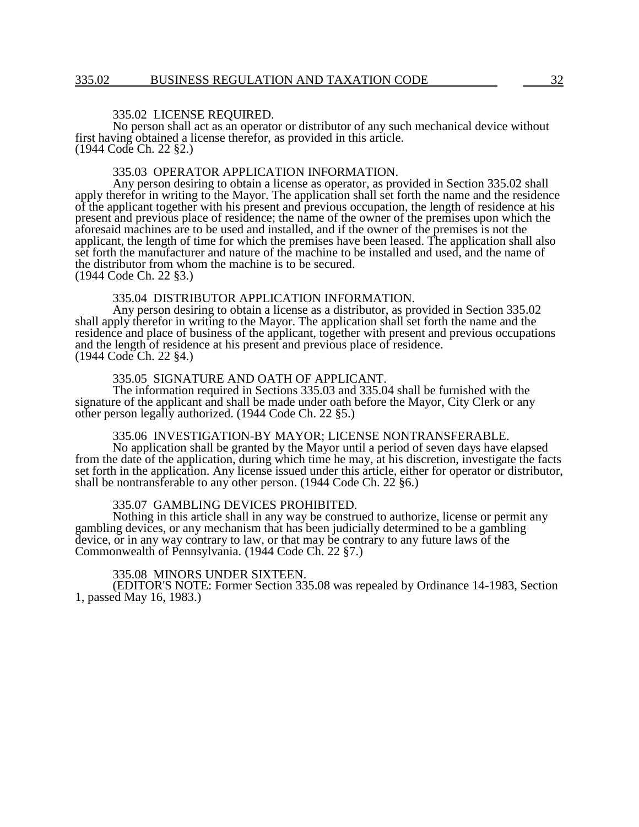#### 335.02 LICENSE REQUIRED.

No person shall act as an operator or distributor of any such mechanical device without first having obtained a license therefor, as provided in this article. (1944 Code Ch. 22 §2.)

## 335.03 OPERATOR APPLICATION INFORMATION.

Any person desiring to obtain a license as operator, as provided in Section 335.02 shall apply therefor in writing to the Mayor. The application shall set forth the name and the residence of the applicant together with his present and previous occupation, the length of residence at his present and previous place of residence; the name of the owner of the premises upon which the aforesaid machines are to be used and installed, and if the owner of the premises is not the applicant, the length of time for which the premises have been leased. The application shall also set forth the manufacturer and nature of the machine to be installed and used, and the name of the distributor from whom the machine is to be secured. (1944 Code Ch. 22 §3.)

## 335.04 DISTRIBUTOR APPLICATION INFORMATION.

Any person desiring to obtain a license as a distributor, as provided in Section 335.02 shall apply therefor in writing to the Mayor. The application shall set forth the name and the residence and place of business of the applicant, together with present and previous occupations and the length of residence at his present and previous place of residence. (1944 Code Ch. 22 §4.)

#### 335.05 SIGNATURE AND OATH OF APPLICANT.

The information required in Sections 335.03 and 335.04 shall be furnished with the signature of the applicant and shall be made under oath before the Mayor, City Clerk or any other person legally authorized. (1944 Code Ch. 22 §5.)

## 335.06 INVESTIGATION-BY MAYOR; LICENSE NONTRANSFERABLE.

No application shall be granted by the Mayor until a period of seven days have elapsed from the date of the application, during which time he may, at his discretion, investigate the facts set forth in the application. Any license issued under this article, either for operator or distributor, shall be nontransferable to any other person. (1944 Code Ch. 22 §6.)

### 335.07 GAMBLING DEVICES PROHIBITED.

Nothing in this article shall in any way be construed to authorize, license or permit any gambling devices, or any mechanism that has been judicially determined to be a gambling device, or in any way contrary to law, or that may be contrary to any future laws of the Commonwealth of Pennsylvania. (1944 Code Ch. 22 §7.)

#### 335.08 MINORS UNDER SIXTEEN.

(EDITOR'S NOTE: Former Section 335.08 was repealed by Ordinance 14-1983, Section 1, passed May 16, 1983.)